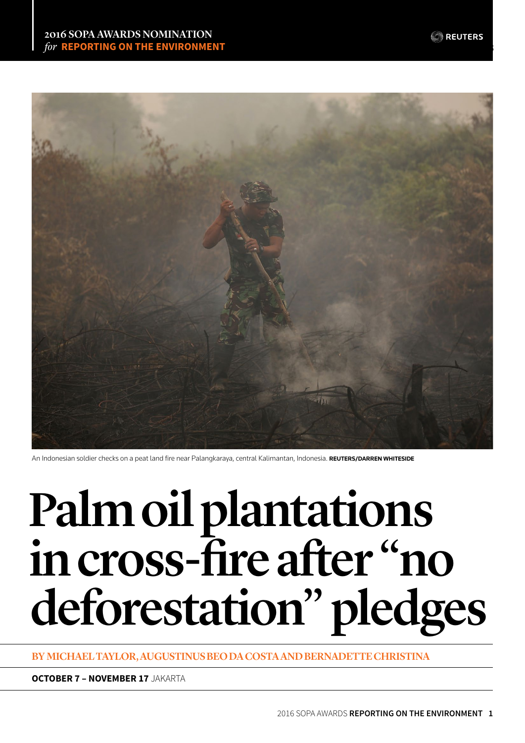



An Indonesian soldier checks on a peat land fire near Palangkaraya, central Kalimantan, Indonesia. **REUTERS/DARREN WHITESIDE**

# Palm oil plantations in cross-fire after "no deforestation" pledges

BY MICHAEL TAYLOR, AUGUSTINUS BEO DA COSTA AND BERNADETTE CHRISTINA

**OCTOBER 7 – NOVEMBER 17** JAKARTA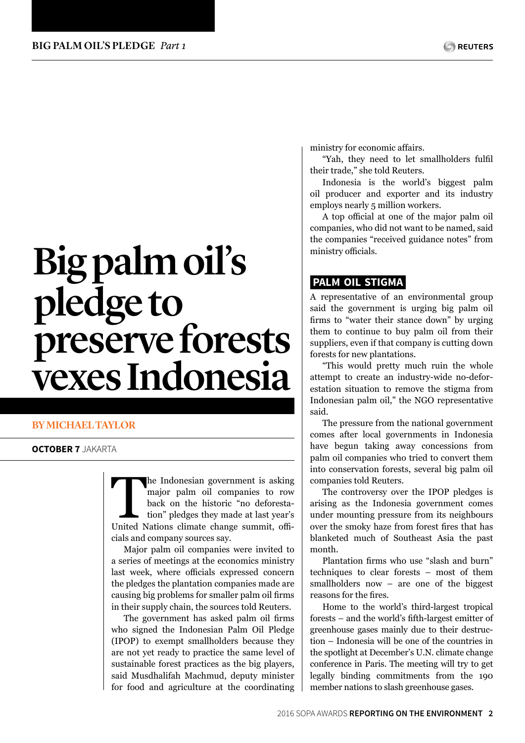## Big palm oil's pledge to preserve forests vexes Indonesia

### BY MICHAEL TAYLOR

#### **OCTOBER 7** JAKARTA

The Indonesian government is asking<br>
major palm oil companies to row<br>
back on the historic "no deforesta-<br>
tion" pledges they made at last year's<br>
United Nations climate change summit, offimajor palm oil companies to row back on the historic "no deforestation" pledges they made at last year's cials and company sources say.

Major palm oil companies were invited to a series of meetings at the economics ministry last week, where officials expressed concern the pledges the plantation companies made are causing big problems for smaller palm oil firms in their supply chain, the sources told Reuters.

The government has asked palm oil firms who signed the Indonesian Palm Oil Pledge (IPOP) to exempt smallholders because they are not yet ready to practice the same level of sustainable forest practices as the big players, said Musdhalifah Machmud, deputy minister for food and agriculture at the coordinating ministry for economic affairs.

"Yah, they need to let smallholders fulfil their trade," she told Reuters.

Indonesia is the world's biggest palm oil producer and exporter and its industry employs nearly 5 million workers.

A top official at one of the major palm oil companies, who did not want to be named, said the companies "received guidance notes" from ministry officials.

### **PALM OIL STIGMA**

A representative of an environmental group said the government is urging big palm oil firms to "water their stance down" by urging them to continue to buy palm oil from their suppliers, even if that company is cutting down forests for new plantations.

"This would pretty much ruin the whole attempt to create an industry-wide no-deforestation situation to remove the stigma from Indonesian palm oil," the NGO representative said.

The pressure from the national government comes after local governments in Indonesia have begun taking away concessions from palm oil companies who tried to convert them into conservation forests, several big palm oil companies told Reuters.

The controversy over the IPOP pledges is arising as the Indonesia government comes under mounting pressure from its neighbours over the smoky haze from forest fires that has blanketed much of Southeast Asia the past month.

Plantation firms who use "slash and burn" techniques to clear forests – most of them smallholders now – are one of the biggest reasons for the fires.

Home to the world's third-largest tropical forests – and the world's fifth-largest emitter of greenhouse gases mainly due to their destruction – Indonesia will be one of the countries in the spotlight at December's U.N. climate change conference in Paris. The meeting will try to get legally binding commitments from the 190 member nations to slash greenhouse gases.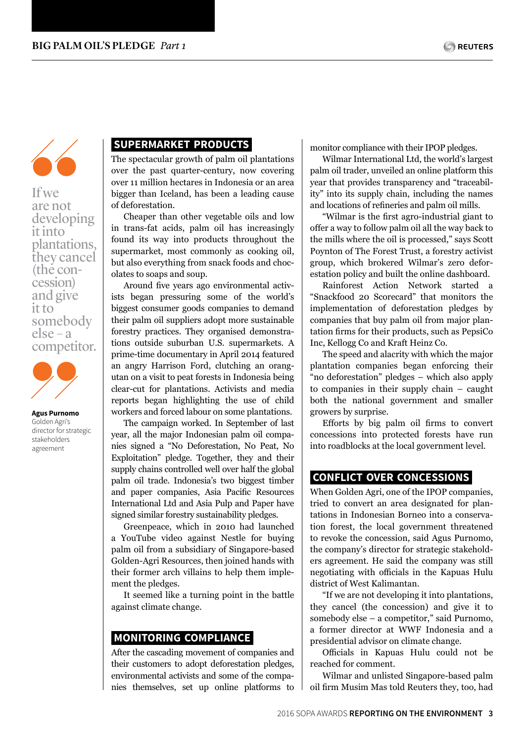

If we are not developing it into plantations, they cancel (the con- cession) and give it to somebody else – a competitor.



**Agus Purnomo** Golden Agri's director for strategic stakeholders agreement

### **SUPERMARKET PRODUCTS**

The spectacular growth of palm oil plantations over the past quarter-century, now covering over 11 million hectares in Indonesia or an area bigger than Iceland, has been a leading cause of deforestation.

Cheaper than other vegetable oils and low in trans-fat acids, palm oil has increasingly found its way into products throughout the supermarket, most commonly as cooking oil, but also everything from snack foods and chocolates to soaps and soup.

Around five years ago environmental activists began pressuring some of the world's biggest consumer goods companies to demand their palm oil suppliers adopt more sustainable forestry practices. They organised demonstrations outside suburban U.S. supermarkets. A prime-time documentary in April 2014 featured an angry Harrison Ford, clutching an orangutan on a visit to peat forests in Indonesia being clear-cut for plantations. Activists and media reports began highlighting the use of child workers and forced labour on some plantations.

The campaign worked. In September of last year, all the major Indonesian palm oil companies signed a "No Deforestation, No Peat, No Exploitation" pledge. Together, they and their supply chains controlled well over half the global palm oil trade. Indonesia's two biggest timber and paper companies, Asia Pacific Resources International Ltd and Asia Pulp and Paper have signed similar forestry sustainability pledges.

Greenpeace, which in 2010 had launched a YouTube video against Nestle for buying palm oil from a subsidiary of Singapore-based Golden-Agri Resources, then joined hands with their former arch villains to help them implement the pledges.

It seemed like a turning point in the battle against climate change.

### **MONITORING COMPLIANCE**

After the cascading movement of companies and their customers to adopt deforestation pledges, environmental activists and some of the companies themselves, set up online platforms to

monitor compliance with their IPOP pledges.

Wilmar International Ltd, the world's largest palm oil trader, unveiled an online platform this year that provides transparency and "traceability" into its supply chain, including the names and locations of refineries and palm oil mills.

"Wilmar is the first agro-industrial giant to offer a way to follow palm oil all the way back to the mills where the oil is processed," says Scott Poynton of The Forest Trust, a forestry activist group, which brokered Wilmar's zero deforestation policy and built the online dashboard.

Rainforest Action Network started a "Snackfood 20 Scorecard" that monitors the implementation of deforestation pledges by companies that buy palm oil from major plantation firms for their products, such as PepsiCo Inc, Kellogg Co and Kraft Heinz Co.

The speed and alacrity with which the major plantation companies began enforcing their "no deforestation" pledges – which also apply to companies in their supply chain – caught both the national government and smaller growers by surprise.

Efforts by big palm oil firms to convert concessions into protected forests have run into roadblocks at the local government level.

### **CONFLICT OVER CONCESSIONS**

When Golden Agri, one of the IPOP companies, tried to convert an area designated for plantations in Indonesian Borneo into a conservation forest, the local government threatened to revoke the concession, said Agus Purnomo, the company's director for strategic stakeholders agreement. He said the company was still negotiating with officials in the Kapuas Hulu district of West Kalimantan.

"If we are not developing it into plantations, they cancel (the concession) and give it to somebody else – a competitor," said Purnomo, a former director at WWF Indonesia and a presidential advisor on climate change.

Officials in Kapuas Hulu could not be reached for comment.

Wilmar and unlisted Singapore-based palm oil firm Musim Mas told Reuters they, too, had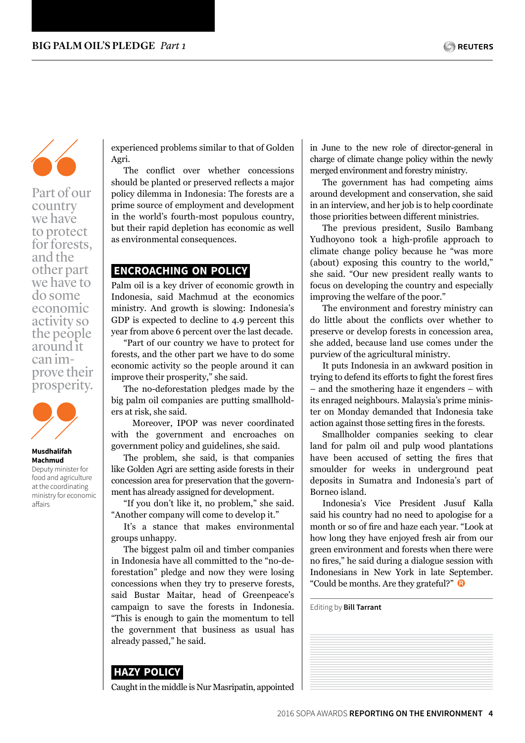

Part of our country we have to protect for forests, and the other part we have to do some economic activity so the people around it prove their prosperity.



**Musdhalifah Machmud** Deputy minister for food and agriculture at the coordinating ministry for economic affairs

experienced problems similar to that of Golden Agri.

The conflict over whether concessions should be planted or preserved reflects a major policy dilemma in Indonesia: The forests are a prime source of employment and development in the world's fourth-most populous country, but their rapid depletion has economic as well as environmental consequences.

### **ENCROACHING ON POLICY**

Palm oil is a key driver of economic growth in Indonesia, said Machmud at the economics ministry. And growth is slowing: Indonesia's GDP is expected to decline to 4.9 percent this year from above 6 percent over the last decade.

"Part of our country we have to protect for forests, and the other part we have to do some economic activity so the people around it can improve their prosperity," she said.

The no-deforestation pledges made by the big palm oil companies are putting smallholders at risk, she said.

 Moreover, IPOP was never coordinated with the government and encroaches on government policy and guidelines, she said.

The problem, she said, is that companies like Golden Agri are setting aside forests in their concession area for preservation that the government has already assigned for development.

"If you don't like it, no problem," she said. "Another company will come to develop it."

It's a stance that makes environmental groups unhappy.

The biggest palm oil and timber companies in Indonesia have all committed to the "no-deforestation" pledge and now they were losing concessions when they try to preserve forests, said Bustar Maitar, head of Greenpeace's campaign to save the forests in Indonesia. "This is enough to gain the momentum to tell the government that business as usual has already passed," he said.

### **HAZY POLICY**

Caught in the middle is Nur Masripatin, appointed

in June to the new role of director-general in charge of climate change policy within the newly merged environment and forestry ministry.

The government has had competing aims around development and conservation, she said in an interview, and her job is to help coordinate those priorities between different ministries.

The previous president, Susilo Bambang Yudhoyono took a high-profile approach to climate change policy because he "was more (about) exposing this country to the world," she said. "Our new president really wants to focus on developing the country and especially improving the welfare of the poor."

The environment and forestry ministry can do little about the conflicts over whether to preserve or develop forests in concession area, she added, because land use comes under the purview of the agricultural ministry.

It puts Indonesia in an awkward position in trying to defend its efforts to fight the forest fires – and the smothering haze it engenders – with its enraged neighbours. Malaysia's prime minister on Monday demanded that Indonesia take action against those setting fires in the forests.

Smallholder companies seeking to clear land for palm oil and pulp wood plantations have been accused of setting the fires that smoulder for weeks in underground peat deposits in Sumatra and Indonesia's part of Borneo island.

Indonesia's Vice President Jusuf Kalla said his country had no need to apologise for a month or so of fire and haze each year. "Look at how long they have enjoyed fresh air from our green environment and forests when there were no fires," he said during a dialogue session with Indonesians in New York in late September. "Could be months. Are they grateful?"  $\bullet$ 

Editing by **Bill Tarrant**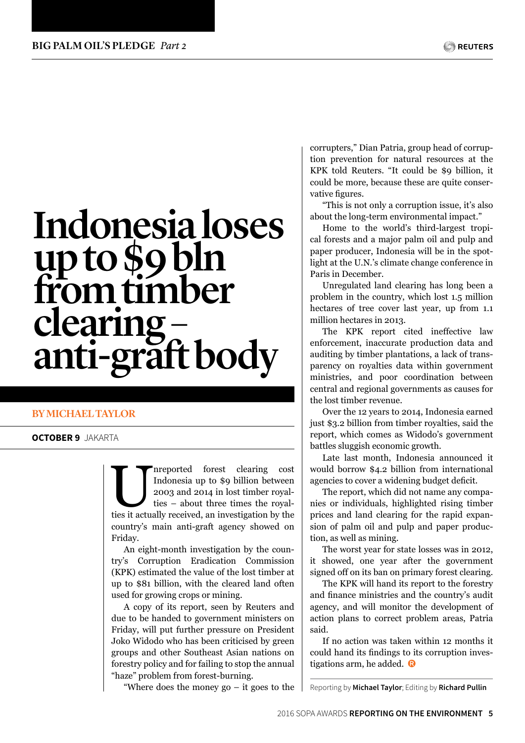### Indonesia loses up to \$9 bln from timber clearing anti-graft body

### BY MICHAEL TAYLOR

**OCTOBER 9** JAKARTA

Indonesia up to \$9 billion between<br>
2003 and 2014 in lost timber royal-<br>
ties - about three times the royal-<br>
ties it actually received, an investigation by the Indonesia up to \$9 billion between 2003 and 2014 in lost timber royalties – about three times the royalcountry's main anti-graft agency showed on Friday.

An eight-month investigation by the country's Corruption Eradication Commission (KPK) estimated the value of the lost timber at up to \$81 billion, with the cleared land often used for growing crops or mining.

A copy of its report, seen by Reuters and due to be handed to government ministers on Friday, will put further pressure on President Joko Widodo who has been criticised by green groups and other Southeast Asian nations on forestry policy and for failing to stop the annual "haze" problem from forest-burning.

"Where does the money  $q_0$  – it goes to the

corrupters," Dian Patria, group head of corruption prevention for natural resources at the KPK told Reuters. "It could be \$9 billion, it could be more, because these are quite conservative figures.

"This is not only a corruption issue, it's also about the long-term environmental impact."

Home to the world's third-largest tropical forests and a major palm oil and pulp and paper producer, Indonesia will be in the spotlight at the U.N.'s climate change conference in Paris in December.

Unregulated land clearing has long been a problem in the country, which lost 1.5 million hectares of tree cover last year, up from 1.1 million hectares in 2013.

The KPK report cited ineffective law enforcement, inaccurate production data and auditing by timber plantations, a lack of transparency on royalties data within government ministries, and poor coordination between central and regional governments as causes for the lost timber revenue.

Over the 12 years to 2014, Indonesia earned just \$3.2 billion from timber royalties, said the report, which comes as Widodo's government battles sluggish economic growth.

Late last month, Indonesia announced it would borrow \$4.2 billion from international agencies to cover a widening budget deficit.

The report, which did not name any companies or individuals, highlighted rising timber prices and land clearing for the rapid expansion of palm oil and pulp and paper production, as well as mining.

The worst year for state losses was in 2012, it showed, one year after the government signed off on its ban on primary forest clearing.

The KPK will hand its report to the forestry and finance ministries and the country's audit agency, and will monitor the development of action plans to correct problem areas, Patria said.

If no action was taken within 12 months it could hand its findings to its corruption investigations arm, he added.  $\mathbf{\Omega}$ 

Reporting by **Michael Taylor**; Editing by **Richard Pullin**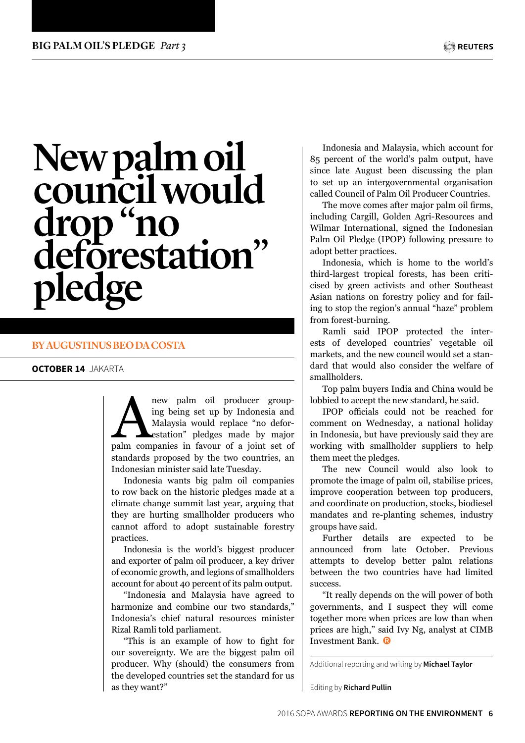### New palm oil council would drop "no deforestation" led

### BY AUGUSTINUS BEO DA COSTA

**OCTOBER 14** JAKARTA

new palm oil producer group-<br>
ing being set up by Indonesia and<br>
Malaysia would replace "no defor-<br>
estation" pledges made by major<br>
palm companies in favour of a joint set of ing being set up by Indonesia and Malaysia would replace "no deforestation" pledges made by major standards proposed by the two countries, an Indonesian minister said late Tuesday.

Indonesia wants big palm oil companies to row back on the historic pledges made at a climate change summit last year, arguing that they are hurting smallholder producers who cannot afford to adopt sustainable forestry practices.

Indonesia is the world's biggest producer and exporter of palm oil producer, a key driver of economic growth, and legions of smallholders account for about 40 percent of its palm output.

"Indonesia and Malaysia have agreed to harmonize and combine our two standards," Indonesia's chief natural resources minister Rizal Ramli told parliament.

"This is an example of how to fight for our sovereignty. We are the biggest palm oil producer. Why (should) the consumers from the developed countries set the standard for us as they want?"

Indonesia and Malaysia, which account for 85 percent of the world's palm output, have since late August been discussing the plan to set up an intergovernmental organisation called Council of Palm Oil Producer Countries.

The move comes after major palm oil firms, including Cargill, Golden Agri-Resources and Wilmar International, signed the Indonesian Palm Oil Pledge (IPOP) following pressure to adopt better practices.

Indonesia, which is home to the world's third-largest tropical forests, has been criticised by green activists and other Southeast Asian nations on forestry policy and for failing to stop the region's annual "haze" problem from forest-burning.

Ramli said IPOP protected the interests of developed countries' vegetable oil markets, and the new council would set a standard that would also consider the welfare of smallholders.

Top palm buyers India and China would be lobbied to accept the new standard, he said.

IPOP officials could not be reached for comment on Wednesday, a national holiday in Indonesia, but have previously said they are working with smallholder suppliers to help them meet the pledges.

The new Council would also look to promote the image of palm oil, stabilise prices, improve cooperation between top producers, and coordinate on production, stocks, biodiesel mandates and re-planting schemes, industry groups have said.

Further details are expected to be announced from late October. Previous attempts to develop better palm relations between the two countries have had limited success.

"It really depends on the will power of both governments, and I suspect they will come together more when prices are low than when prices are high," said Ivy Ng, analyst at CIMB Investment Bank. <sup>®</sup>

Additional reporting and writing by **Michael Taylor** 

Editing by **Richard Pullin**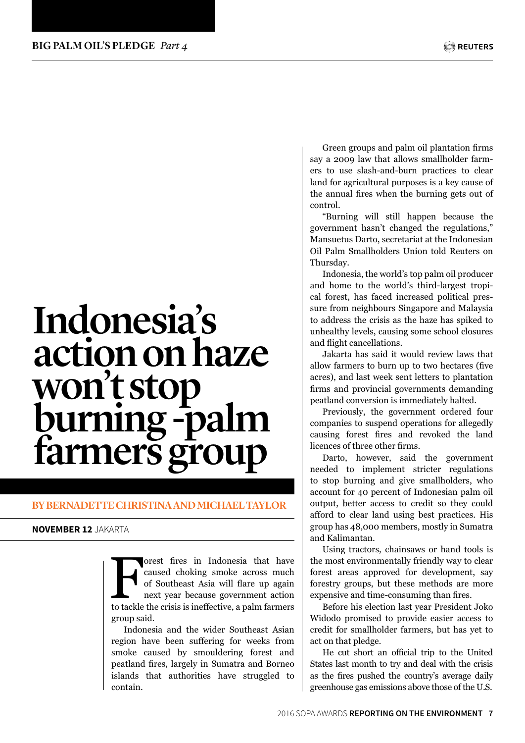### Indonesia's action on haze won't stop burning -palm farmers group

#### BY BERNADETTE CHRISTINA AND MICHAEL TAYLOR

**NOVEMBER 12** JAKARTA

Forest fires in Indonesia that have caused choking smoke across much of Southeast Asia will flare up again next year because government action to tackle the crisis is ineffective, a palm farmers caused choking smoke across much of Southeast Asia will flare up again next year because government action group said.

Indonesia and the wider Southeast Asian region have been suffering for weeks from smoke caused by smouldering forest and peatland fires, largely in Sumatra and Borneo islands that authorities have struggled to contain.

Green groups and palm oil plantation firms say a 2009 law that allows smallholder farmers to use slash-and-burn practices to clear land for agricultural purposes is a key cause of the annual fires when the burning gets out of control.

"Burning will still happen because the government hasn't changed the regulations," Mansuetus Darto, secretariat at the Indonesian Oil Palm Smallholders Union told Reuters on Thursday.

Indonesia, the world's top palm oil producer and home to the world's third-largest tropical forest, has faced increased political pressure from neighbours Singapore and Malaysia to address the crisis as the haze has spiked to unhealthy levels, causing some school closures and flight cancellations.

Jakarta has said it would review laws that allow farmers to burn up to two hectares (five acres), and last week sent letters to plantation firms and provincial governments demanding peatland conversion is immediately halted.

Previously, the government ordered four companies to suspend operations for allegedly causing forest fires and revoked the land licences of three other firms.

Darto, however, said the government needed to implement stricter regulations to stop burning and give smallholders, who account for 40 percent of Indonesian palm oil output, better access to credit so they could afford to clear land using best practices. His group has 48,000 members, mostly in Sumatra and Kalimantan.

Using tractors, chainsaws or hand tools is the most environmentally friendly way to clear forest areas approved for development, say forestry groups, but these methods are more expensive and time-consuming than fires.

Before his election last year President Joko Widodo promised to provide easier access to credit for smallholder farmers, but has yet to act on that pledge.

He cut short an official trip to the United States last month to try and deal with the crisis as the fires pushed the country's average daily greenhouse gas emissions above those of the U.S.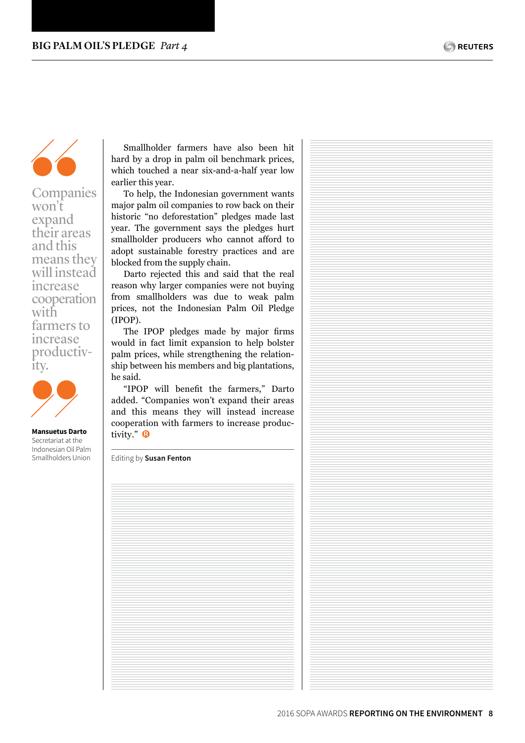

**Companies** won't expand their areas and this means they will instead increase cooperation with farmers to increase productiv- ity.



**Mansuetus Darto** Secretariat at the Indonesian Oil Palm Smallholders Union

Smallholder farmers have also been hit hard by a drop in palm oil benchmark prices, which touched a near six-and-a-half year low earlier this year.

To help, the Indonesian government wants major palm oil companies to row back on their historic "no deforestation" pledges made last year. The government says the pledges hurt smallholder producers who cannot afford to adopt sustainable forestry practices and are blocked from the supply chain.

Darto rejected this and said that the real reason why larger companies were not buying from smallholders was due to weak palm prices, not the Indonesian Palm Oil Pledge (IPOP).

The IPOP pledges made by major firms would in fact limit expansion to help bolster palm prices, while strengthening the relationship between his members and big plantations, he said.

"IPOP will benefit the farmers," Darto added. "Companies won't expand their areas and this means they will instead increase cooperation with farmers to increase productivity." **Q** 

Editing by **Susan Fenton**